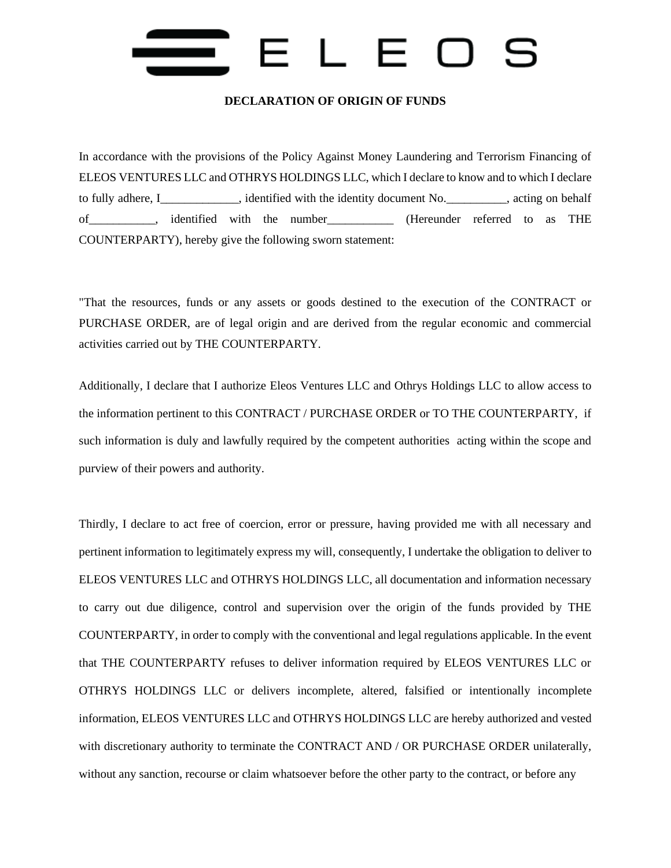### $L E$  $\Box$

#### **DECLARATION OF ORIGIN OF FUNDS**

In accordance with the provisions of the Policy Against Money Laundering and Terrorism Financing of ELEOS VENTURES LLC and OTHRYS HOLDINGS LLC, which I declare to know and to which I declare to fully adhere, I\_\_\_\_\_\_\_\_\_\_\_\_\_, identified with the identity document No.\_\_\_\_\_\_\_\_\_\_, acting on behalf of\_\_\_\_\_\_\_\_\_\_\_, identified with the number\_\_\_\_\_\_\_\_\_\_\_ (Hereunder referred to as THE COUNTERPARTY), hereby give the following sworn statement:

"That the resources, funds or any assets or goods destined to the execution of the CONTRACT or PURCHASE ORDER, are of legal origin and are derived from the regular economic and commercial activities carried out by THE COUNTERPARTY.

Additionally, I declare that I authorize Eleos Ventures LLC and Othrys Holdings LLC to allow access to the information pertinent to this CONTRACT / PURCHASE ORDER or TO THE COUNTERPARTY, if such information is duly and lawfully required by the competent authorities acting within the scope and purview of their powers and authority.

Thirdly, I declare to act free of coercion, error or pressure, having provided me with all necessary and pertinent information to legitimately express my will, consequently, I undertake the obligation to deliver to ELEOS VENTURES LLC and OTHRYS HOLDINGS LLC, all documentation and information necessary to carry out due diligence, control and supervision over the origin of the funds provided by THE COUNTERPARTY, in order to comply with the conventional and legal regulations applicable. In the event that THE COUNTERPARTY refuses to deliver information required by ELEOS VENTURES LLC or OTHRYS HOLDINGS LLC or delivers incomplete, altered, falsified or intentionally incomplete information, ELEOS VENTURES LLC and OTHRYS HOLDINGS LLC are hereby authorized and vested with discretionary authority to terminate the CONTRACT AND / OR PURCHASE ORDER unilaterally, without any sanction, recourse or claim whatsoever before the other party to the contract, or before any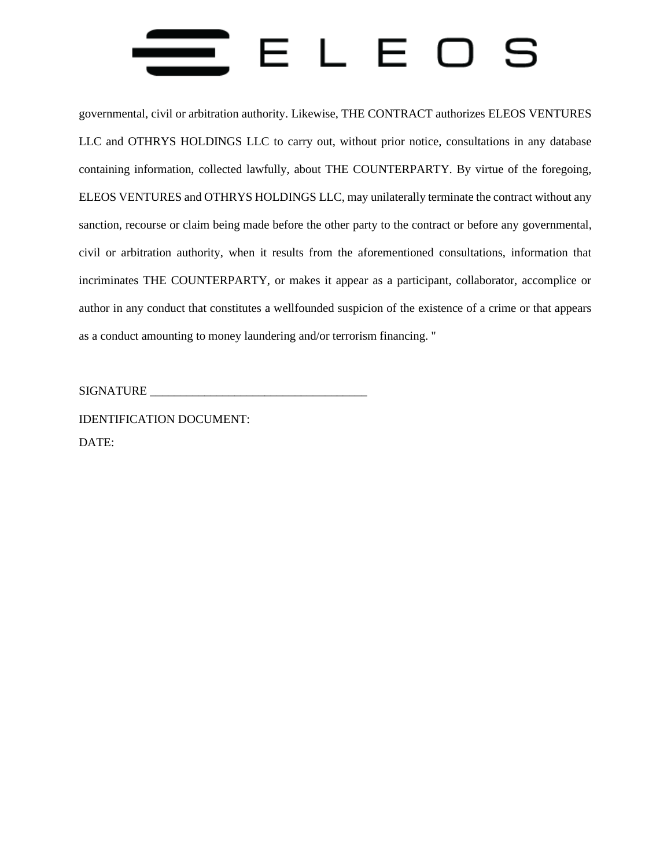### ELE  $\Box$

governmental, civil or arbitration authority. Likewise, THE CONTRACT authorizes ELEOS VENTURES LLC and OTHRYS HOLDINGS LLC to carry out, without prior notice, consultations in any database containing information, collected lawfully, about THE COUNTERPARTY. By virtue of the foregoing, ELEOS VENTURES and OTHRYS HOLDINGS LLC, may unilaterally terminate the contract without any sanction, recourse or claim being made before the other party to the contract or before any governmental, civil or arbitration authority, when it results from the aforementioned consultations, information that incriminates THE COUNTERPARTY, or makes it appear as a participant, collaborator, accomplice or author in any conduct that constitutes a wellfounded suspicion of the existence of a crime or that appears as a conduct amounting to money laundering and/or terrorism financing. "

SIGNATURE \_\_\_\_\_\_\_\_\_\_\_\_\_\_\_\_\_\_\_\_\_\_\_\_\_\_\_\_\_\_\_\_\_\_\_\_

IDENTIFICATION DOCUMENT: DATE: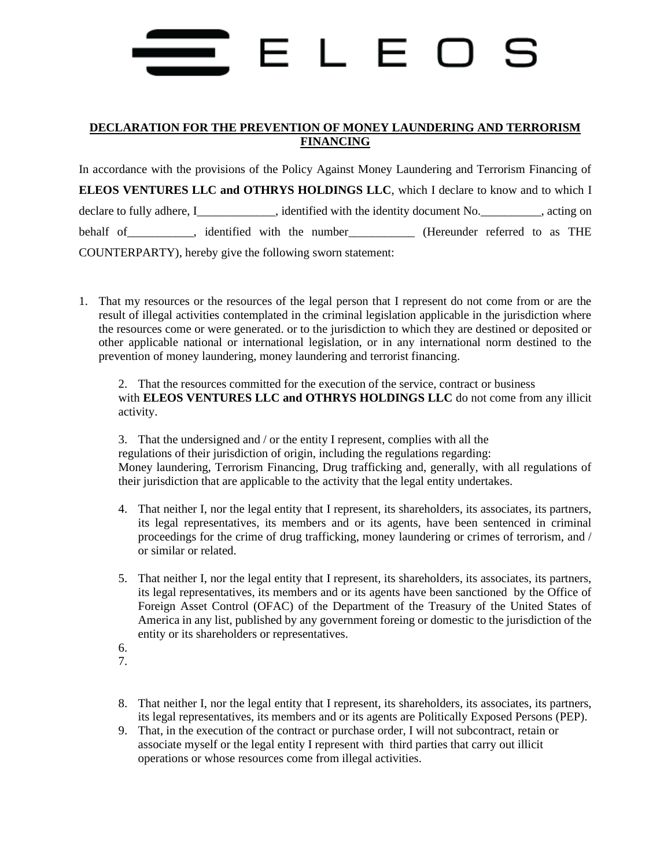# FLF

#### **DECLARATION FOR THE PREVENTION OF MONEY LAUNDERING AND TERRORISM FINANCING**

In accordance with the provisions of the Policy Against Money Laundering and Terrorism Financing of **ELEOS VENTURES LLC and OTHRYS HOLDINGS LLC**, which I declare to know and to which I declare to fully adhere, I\_\_\_\_\_\_\_\_\_\_\_, identified with the identity document No.\_\_\_\_\_\_\_\_, acting on behalf of \_\_\_\_\_\_\_\_, identified with the number\_\_\_\_\_\_\_\_\_\_\_\_ (Hereunder referred to as THE COUNTERPARTY), hereby give the following sworn statement:

1. That my resources or the resources of the legal person that I represent do not come from or are the result of illegal activities contemplated in the criminal legislation applicable in the jurisdiction where the resources come or were generated. or to the jurisdiction to which they are destined or deposited or other applicable national or international legislation, or in any international norm destined to the prevention of money laundering, money laundering and terrorist financing.

2. That the resources committed for the execution of the service, contract or business with **ELEOS VENTURES LLC and OTHRYS HOLDINGS LLC** do not come from any illicit activity.

3. That the undersigned and / or the entity I represent, complies with all the regulations of their jurisdiction of origin, including the regulations regarding: Money laundering, Terrorism Financing, Drug trafficking and, generally, with all regulations of their jurisdiction that are applicable to the activity that the legal entity undertakes.

- 4. That neither I, nor the legal entity that I represent, its shareholders, its associates, its partners, its legal representatives, its members and or its agents, have been sentenced in criminal proceedings for the crime of drug trafficking, money laundering or crimes of terrorism, and / or similar or related.
- 5. That neither I, nor the legal entity that I represent, its shareholders, its associates, its partners, its legal representatives, its members and or its agents have been sanctioned by the Office of Foreign Asset Control (OFAC) of the Department of the Treasury of the United States of America in any list, published by any government foreing or domestic to the jurisdiction of the entity or its shareholders or representatives.
- 6.
- 7.
- 8. That neither I, nor the legal entity that I represent, its shareholders, its associates, its partners, its legal representatives, its members and or its agents are Politically Exposed Persons (PEP).
- 9. That, in the execution of the contract or purchase order, I will not subcontract, retain or associate myself or the legal entity I represent with third parties that carry out illicit operations or whose resources come from illegal activities.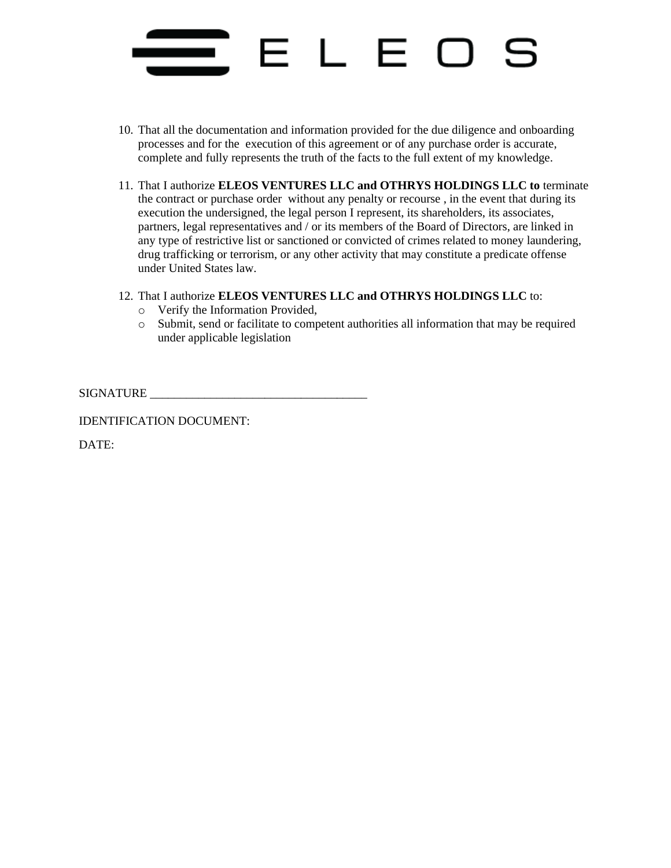## ELE

- 10. That all the documentation and information provided for the due diligence and onboarding processes and for the execution of this agreement or of any purchase order is accurate, complete and fully represents the truth of the facts to the full extent of my knowledge.
- 11. That I authorize **ELEOS VENTURES LLC and OTHRYS HOLDINGS LLC to** terminate the contract or purchase order without any penalty or recourse , in the event that during its execution the undersigned, the legal person I represent, its shareholders, its associates, partners, legal representatives and / or its members of the Board of Directors, are linked in any type of restrictive list or sanctioned or convicted of crimes related to money laundering, drug trafficking or terrorism, or any other activity that may constitute a predicate offense under United States law.
- 12. That I authorize **ELEOS VENTURES LLC and OTHRYS HOLDINGS LLC** to:
	- o Verify the Information Provided,
	- o Submit, send or facilitate to competent authorities all information that may be required under applicable legislation

SIGNATURE **Example 2018** 

IDENTIFICATION DOCUMENT:

DATE: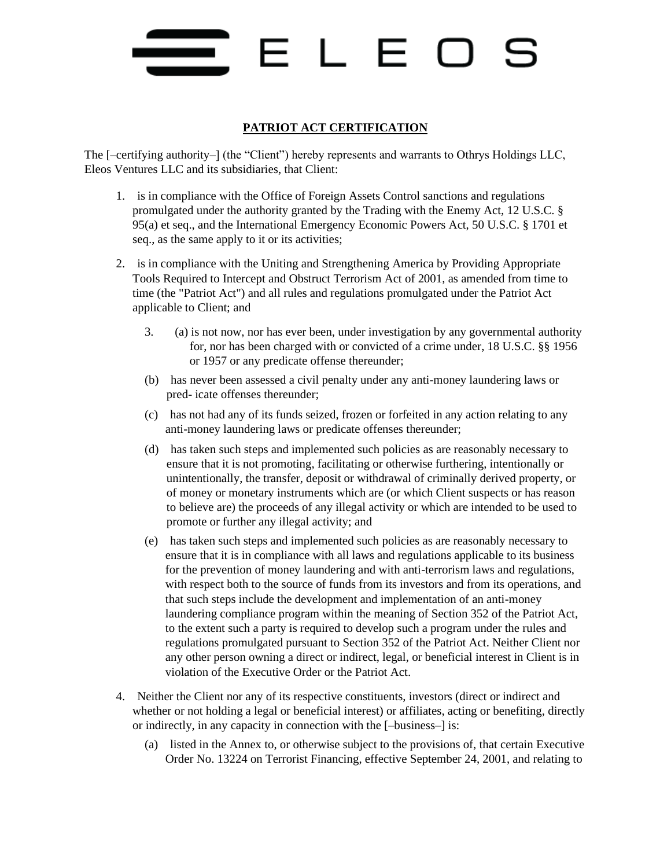# ELE

#### **PATRIOT ACT CERTIFICATION**

The [–certifying authority–] (the "Client") hereby represents and warrants to Othrys Holdings LLC, Eleos Ventures LLC and its subsidiaries, that Client:

- 1. is in compliance with the Office of Foreign Assets Control sanctions and regulations promulgated under the authority granted by the Trading with the Enemy Act, 12 U.S.C. § 95(a) et seq., and the International Emergency Economic Powers Act, 50 U.S.C. § 1701 et seq., as the same apply to it or its activities;
- 2. is in compliance with the Uniting and Strengthening America by Providing Appropriate Tools Required to Intercept and Obstruct Terrorism Act of 2001, as amended from time to time (the "Patriot Act") and all rules and regulations promulgated under the Patriot Act applicable to Client; and
	- 3. (a) is not now, nor has ever been, under investigation by any governmental authority for, nor has been charged with or convicted of a crime under, 18 U.S.C. §§ 1956 or 1957 or any predicate offense thereunder;
	- (b) has never been assessed a civil penalty under any anti-money laundering laws or pred- icate offenses thereunder;
	- (c) has not had any of its funds seized, frozen or forfeited in any action relating to any anti-money laundering laws or predicate offenses thereunder;
	- (d) has taken such steps and implemented such policies as are reasonably necessary to ensure that it is not promoting, facilitating or otherwise furthering, intentionally or unintentionally, the transfer, deposit or withdrawal of criminally derived property, or of money or monetary instruments which are (or which Client suspects or has reason to believe are) the proceeds of any illegal activity or which are intended to be used to promote or further any illegal activity; and
	- (e) has taken such steps and implemented such policies as are reasonably necessary to ensure that it is in compliance with all laws and regulations applicable to its business for the prevention of money laundering and with anti-terrorism laws and regulations, with respect both to the source of funds from its investors and from its operations, and that such steps include the development and implementation of an anti-money laundering compliance program within the meaning of Section 352 of the Patriot Act, to the extent such a party is required to develop such a program under the rules and regulations promulgated pursuant to Section 352 of the Patriot Act. Neither Client nor any other person owning a direct or indirect, legal, or beneficial interest in Client is in violation of the Executive Order or the Patriot Act.
- 4. Neither the Client nor any of its respective constituents, investors (direct or indirect and whether or not holding a legal or beneficial interest) or affiliates, acting or benefiting, directly or indirectly, in any capacity in connection with the [–business–] is:
	- (a) listed in the Annex to, or otherwise subject to the provisions of, that certain Executive Order No. 13224 on Terrorist Financing, effective September 24, 2001, and relating to